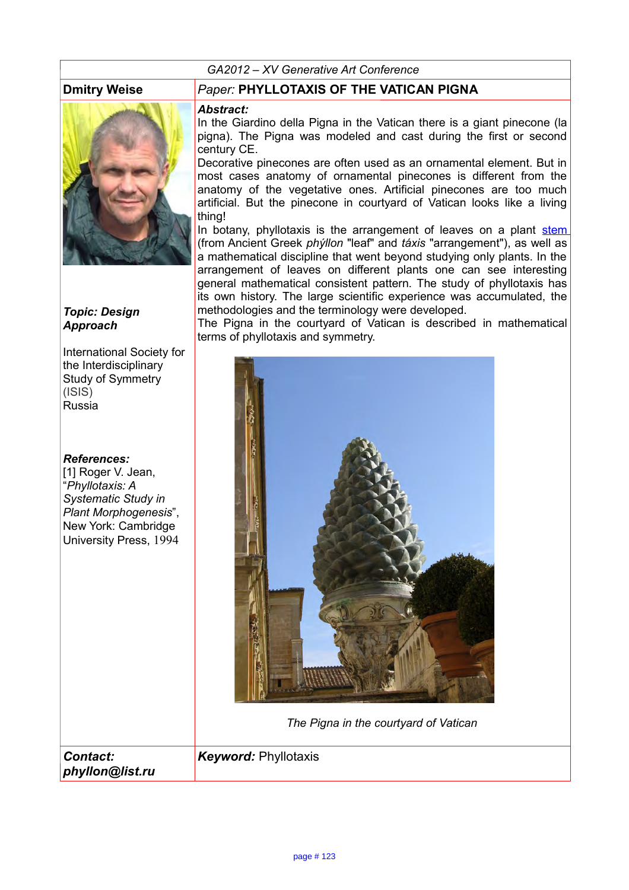#### *GA2012 – XV Generative Art Conference*



#### *Topic: Design Approach*

International Society for the Interdisciplinary Study of Symmetry (ISIS) Russia

#### *References:*

[1] Roger V. Jean, "*Phyllotaxis: A Systematic Study in Plant Morphogenesis*", New York: Cambridge University Press, 1994

#### **Dmitry Weise** *Paper:* **PHYLLOTAXIS OF THE VATICAN PIGNA**

#### *Abstract:*

In the Giardino della Pigna in the Vatican there is a giant pinecone (la pigna). The Pigna was modeled and cast during the first or second century CE.

Decorative pinecones are often used as an ornamental element. But in most cases anatomy of ornamental pinecones is different from the anatomy of the vegetative ones. Artificial pinecones are too much artificial. But the pinecone in courtyard of Vatican looks like a living thing!

In botany, phyllotaxis is the arrangement of leaves on a plant [stem](http://en.wikipedia.org/wiki/Plant_stem) (from Ancient Greek *phýllon* "leaf" and *táxis* "arrangement"), as well as a mathematical discipline that went beyond studying only plants. In the arrangement of leaves on different plants one can see interesting general mathematical consistent pattern. The study of phyllotaxis has its own history. The large scientific experience was accumulated, the methodologies and the terminology were developed.

The Pigna in the courtyard of Vatican is described in mathematical terms of phyllotaxis and symmetry.



*The Pigna in the courtyard of Vatican*

*Keyword:* Phyllotaxis

*Contact: phyllon@list.ru*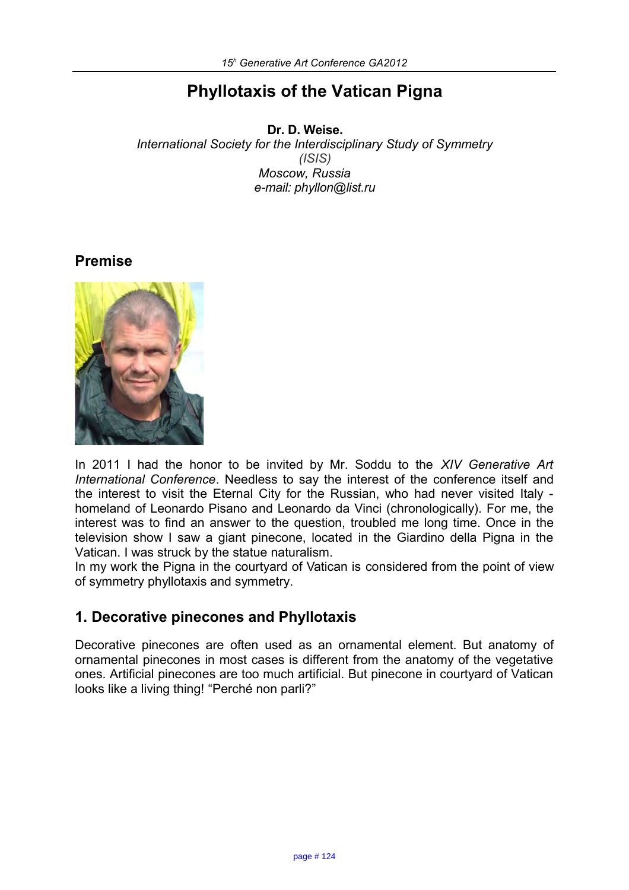# **Phyllotaxis of the Vatican Pigna**

**Dr. D. Weise.** *International Society for the Interdisciplinary Study of Symmetry (ISIS) Moscow, Russia e-mail: phyllon@list.ru*

## **Premise**



In 2011 I had the honor to be invited by Mr. Soddu to the *XIV Generative Art International Conference*. Needless to say the interest of the conference itself and the interest to visit the Eternal City for the Russian, who had never visited Italy homeland of Leonardo Pisano and Leonardo da Vinci (chronologically). For me, the interest was to find an answer to the question, troubled me long time. Once in the television show I saw a giant pinecone, located in the Giardino della Pigna in the Vatican. I was struck by the statue naturalism.

In my work the Pigna in the courtyard of Vatican is considered from the point of view of symmetry phyllotaxis and symmetry.

# **1. Decorative pinecones and Phyllotaxis**

Decorative pinecones are often used as an ornamental element. But anatomy of ornamental pinecones in most cases is different from the anatomy of the vegetative ones. Artificial pinecones are too much artificial. But pinecone in courtyard of Vatican looks like a living thing! "Perché non parli?"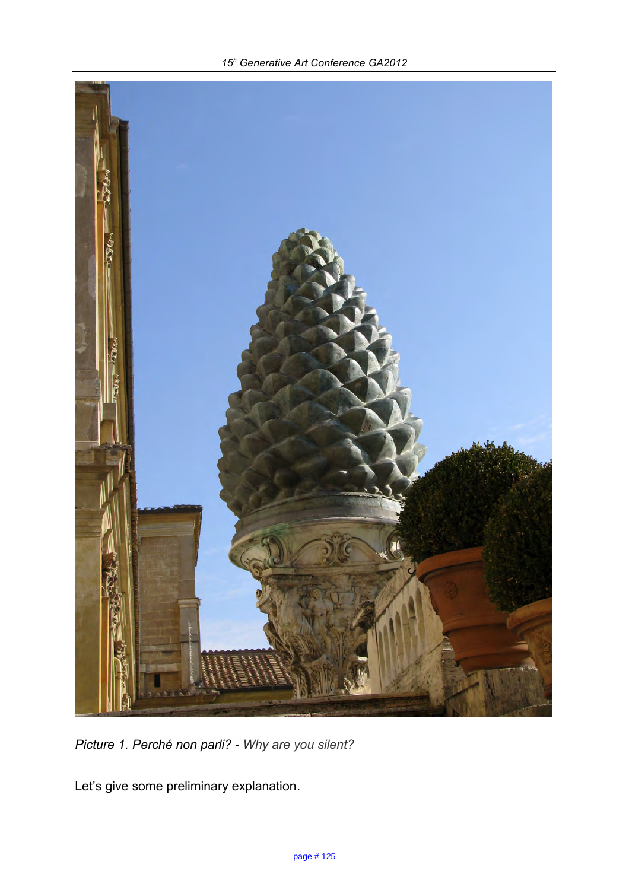

*Picture 1. Perché non parli? - Why are you silent?*

Let's give some preliminary explanation.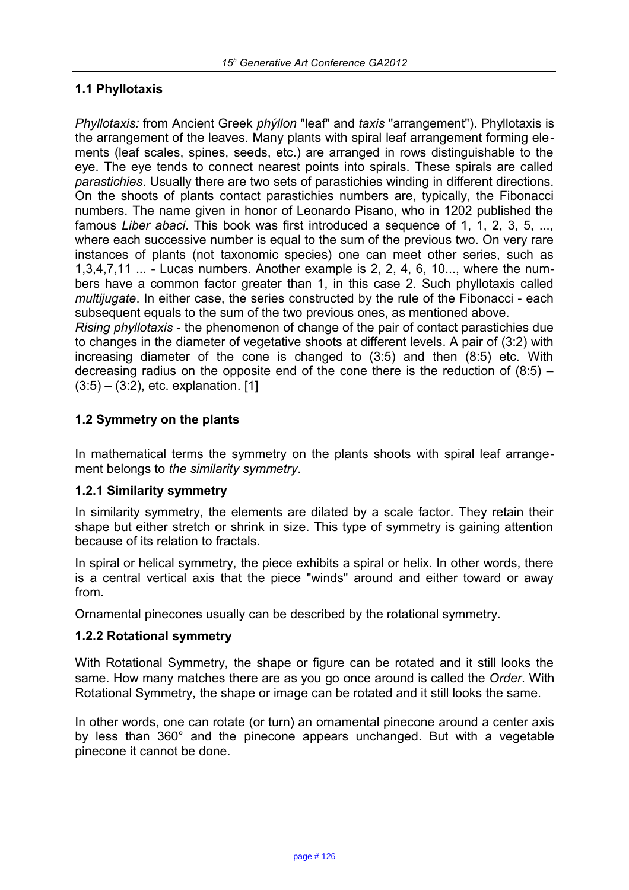### **1.1 Phyllotaxis**

*Phyllotaxis:* from Ancient Greek *phýllon* "leaf" and *taxis* "arrangement"). Phyllotaxis is the arrangement of the leaves. Many plants with spiral leaf arrangement forming elements (leaf scales, spines, seeds, etc.) are arranged in rows distinguishable to the eye. The eye tends to connect nearest points into spirals. These spirals are called *parastichies*. Usually there are two sets of parastichies winding in different directions. On the shoots of plants contact parastichies numbers are, typically, the Fibonacci numbers. The name given in honor of Leonardo Pisano, who in 1202 published the famous *Liber abaci*. This book was first introduced a sequence of 1, 1, 2, 3, 5, ..., where each successive number is equal to the sum of the previous two. On very rare instances of plants (not taxonomic species) one can meet other series, such as 1,3,4,7,11 ... - Luсas numbers. Another example is 2, 2, 4, 6, 10..., where the numbers have a common factor greater than 1, in this case 2. Such phyllotaxis called *multijugate*. In either case, the series constructed by the rule of the Fibonacci - each subsequent equals to the sum of the two previous ones, as mentioned above. *Rising phyllotaxis* - the phenomenon of change of the pair of contact parastichies due

to changes in the diameter of vegetative shoots at different levels. A pair of (3:2) with increasing diameter of the cone is changed to (3:5) and then (8:5) etc. With decreasing radius on the opposite end of the cone there is the reduction of  $(8.5)$  –  $(3:5) - (3:2)$ , etc. explanation. [1]

### **1.2 Symmetry on the plants**

In mathematical terms the symmetry on the plants shoots with spiral leaf arrangement belongs to *the similarity symmetry*.

#### **1.2.1 Similarity symmetry**

In similarity symmetry, the elements are dilated by a scale factor. They retain their shape but either stretch or shrink in size. This type of symmetry is gaining attention because of its relation to fractals.

In spiral or helical symmetry, the piece exhibits a spiral or helix. In other words, there is a central vertical axis that the piece "winds" around and either toward or away from.

Ornamental pinecones usually can be described by the rotational symmetry.

#### **1.2.2 Rotational symmetry**

With Rotational Symmetry, the shape or figure can be rotated and it still looks the same. How many matches there are as you go once around is called the *Order*. With Rotational Symmetry, the shape or image can be rotated and it still looks the same.

In other words, one can rotate (or turn) an ornamental pinecone around a center axis by less than 360° and the pinecone appears unchanged. But with a vegetable pinecone it cannot be done.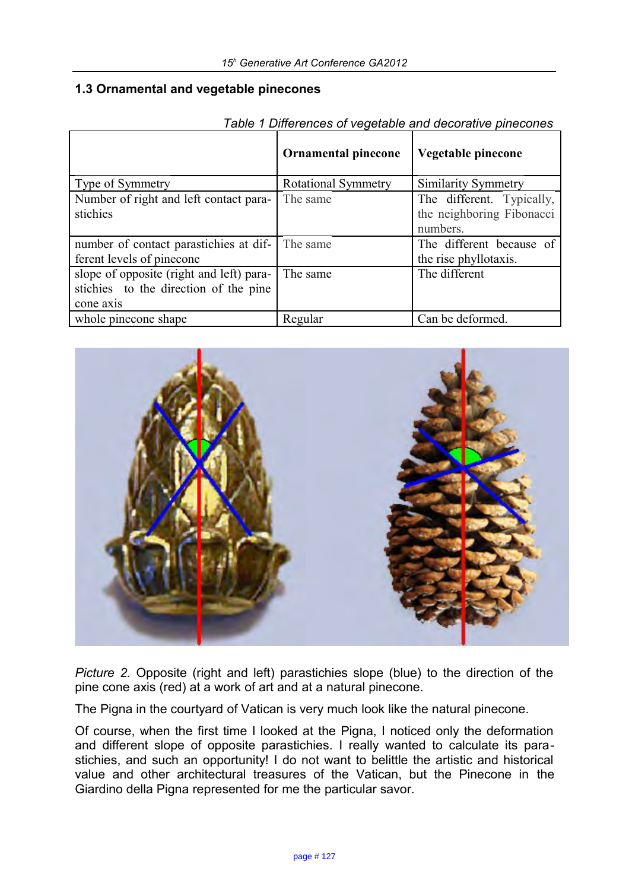#### **1.3 Ornamental and vegetable pinecones**

|                                          | <b>Ornamental pinecone</b> | Vegetable pinecone        |
|------------------------------------------|----------------------------|---------------------------|
| Type of Symmetry                         | <b>Rotational Symmetry</b> | Similarity Symmetry       |
| Number of right and left contact para-   | The same                   | The different. Typically, |
| stichies                                 |                            | the neighboring Fibonacci |
|                                          |                            | numbers.                  |
| number of contact parastichies at dif-   | The same                   | The different because of  |
| ferent levels of pinecone                |                            | the rise phyllotaxis.     |
| slope of opposite (right and left) para- | The same                   | The different             |
| stichies to the direction of the pine    |                            |                           |
| cone axis                                |                            |                           |
| whole pinecone shape                     | Regular                    | Can be deformed.          |

*Table 1 Differences of vegetable and decorative pinecones*



*Picture 2.* Opposite (right and left) parastichies slope (blue) to the direction of the pine cone axis (red) at a work of art and at a natural pinecone.

The Pigna in the courtyard of Vatican is very much look like the natural pinecone.

Of course, when the first time I looked at the Pigna, I noticed only the deformation and different slope of opposite parastichies. I really wanted to calculate its parastichies, and such an opportunity! I do not want to belittle the artistic and historical value and other architectural treasures of the Vatican, but the Pinecone in the Giardino della Pigna represented for me the particular savor.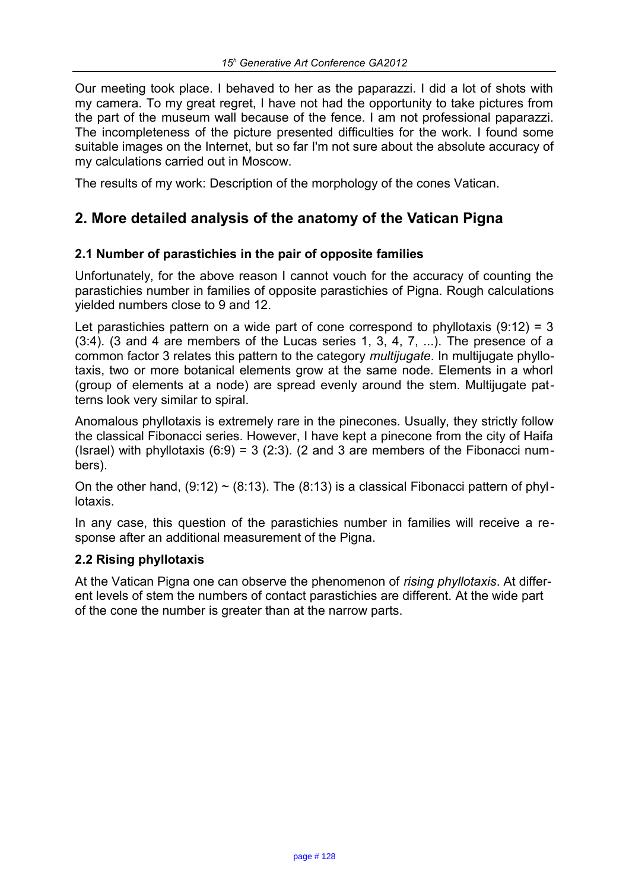Our meeting took place. I behaved to her as the paparazzi. I did a lot of shots with my camera. To my great regret, I have not had the opportunity to take pictures from the part of the museum wall because of the fence. I am not professional paparazzi. The incompleteness of the picture presented difficulties for the work. I found some suitable images on the Internet, but so far I'm not sure about the absolute accuracy of my calculations carried out in Moscow.

The results of my work: Description of the morphology of the cones Vatican.

# **2. More detailed analysis of the anatomy of the Vatican Pigna**

#### **2.1 Number of parastichies in the pair of opposite families**

Unfortunately, for the above reason I cannot vouch for the accuracy of counting the parastichies number in families of opposite parastichies of Pigna. Rough calculations yielded numbers close to 9 and 12.

Let parastichies pattern on a wide part of cone correspond to phyllotaxis  $(9.12) = 3$  $(3:4)$ .  $(3 \text{ and } 4 \text{ are members of the Lucas series 1, 3, 4, 7, ...)$ . The presence of a common factor 3 relates this pattern to the category *multijugate*. In multijugate phyllotaxis, two or more botanical elements grow at the same node. Elements in a whorl (group of elements at a node) are spread evenly around the stem. Multijugate patterns look very similar to spiral.

Anomalous phyllotaxis is extremely rare in the pinecones. Usually, they strictly follow the classical Fibonacci series. However, I have kept a pinecone from the city of Haifa (Israel) with phyllotaxis  $(6.9) = 3$  (2.3). (2 and 3 are members of the Fibonacci numbers).

On the other hand,  $(9.12) \sim (8.13)$ . The  $(8.13)$  is a classical Fibonacci pattern of phyllotaxis.

In any case, this question of the parastichies number in families will receive a response after an additional measurement of the Pigna.

#### **2.2 Rising phyllotaxis**

At the Vatican Pigna one can observe the phenomenon of *rising phyllotaxis*. At different levels of stem the numbers of contact parastichies are different. At the wide part of the cone the number is greater than at the narrow parts.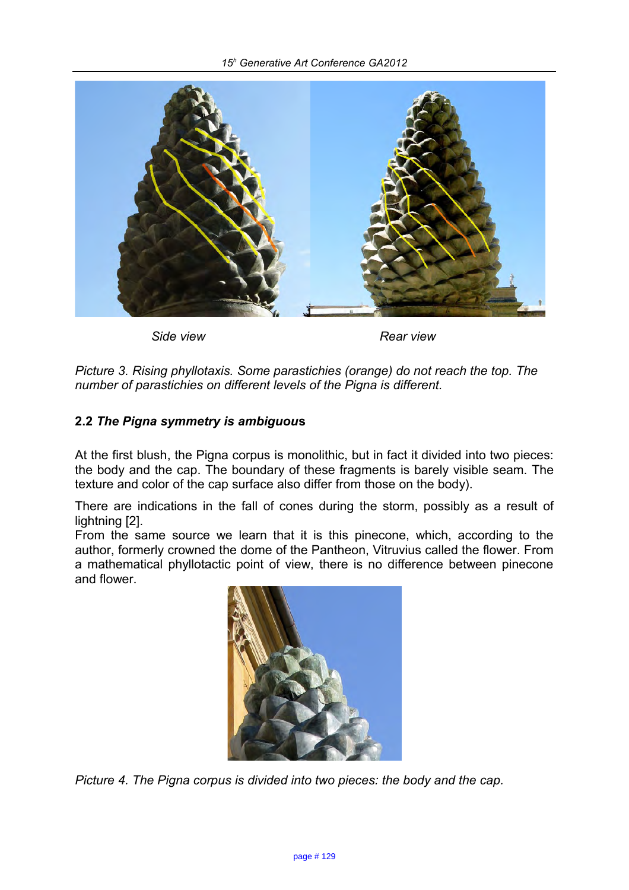

*Side view Rear view*

*Picture 3. Rising phyllotaxis. Some parastichies (orange) do not reach the top. The number of parastichies on different levels of the Pigna is different.*

### **2.2** *The Pigna symmetry is ambiguou***s**

At the first blush, the Pigna corpus is monolithic, but in fact it divided into two pieces: the body and the cap. The boundary of these fragments is barely visible seam. The texture and color of the cap surface also differ from those on the body).

There are indications in the fall of cones during the storm, possibly as a result of lightning [2].

From the same source we learn that it is this pinecone, which, according to the author, formerly crowned the dome of the Pantheon, Vitruvius called the flower. From a mathematical phyllotactic point of view, there is no difference between pinecone and flower.



*Picture 4. The Pigna corpus is divided into two pieces: the body and the cap.*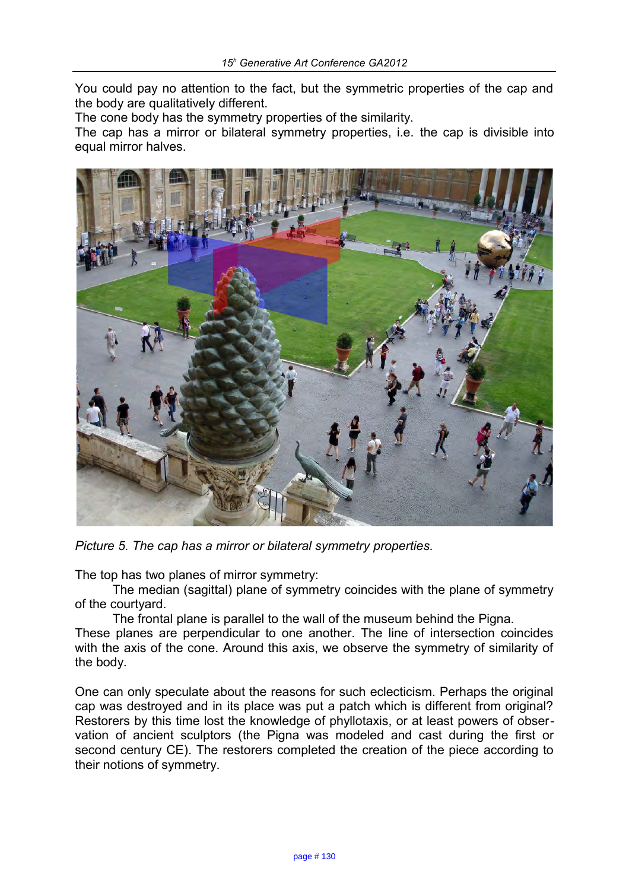You could pay no attention to the fact, but the symmetric properties of the cap and the body are qualitatively different.

The cone body has the symmetry properties of the similarity.

The cap has a mirror or bilateral symmetry properties, i.e. the cap is divisible into equal mirror halves.



*Picture 5. The cap has a mirror or bilateral symmetry properties.* 

The top has two planes of mirror symmetry:

The median (sagittal) plane of symmetry coincides with the plane of symmetry of the courtyard.

The frontal plane is parallel to the wall of the museum behind the Pigna.

These planes are perpendicular to one another. The line of intersection coincides with the axis of the cone. Around this axis, we observe the symmetry of similarity of the body.

One can only speculate about the reasons for such eclecticism. Perhaps the original cap was destroyed and in its place was put a patch which is different from original? Restorers by this time lost the knowledge of phyllotaxis, or at least powers of observation of ancient sculptors (the Pigna was modeled and cast during the first or second century CE). The restorers completed the creation of the piece according to their notions of symmetry.